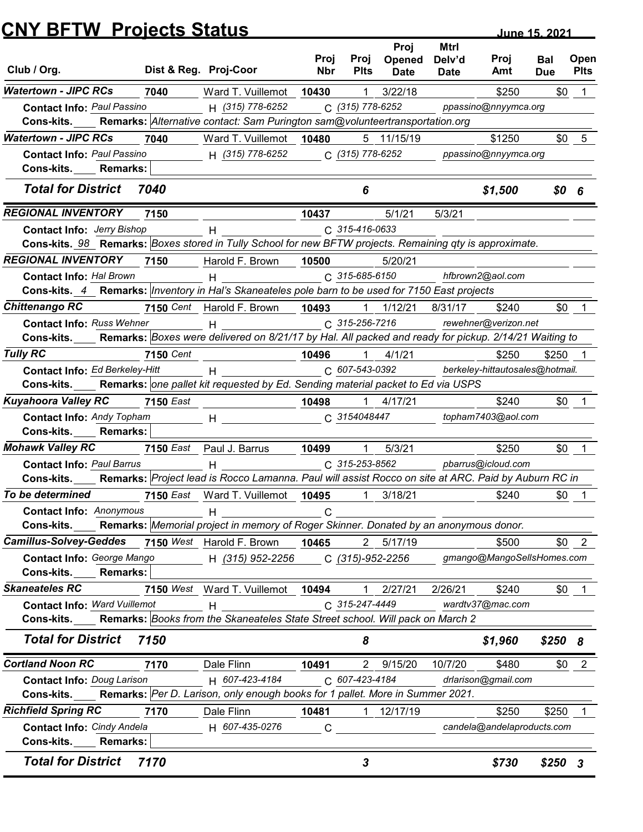|                                                                                                          | <b>CNY BFTW Projects Status</b> |                                                                                                                                                                                                                               |              |                       |                       |                       |                                          | June 15, 2021            |                     |
|----------------------------------------------------------------------------------------------------------|---------------------------------|-------------------------------------------------------------------------------------------------------------------------------------------------------------------------------------------------------------------------------|--------------|-----------------------|-----------------------|-----------------------|------------------------------------------|--------------------------|---------------------|
|                                                                                                          |                                 |                                                                                                                                                                                                                               | Proj         |                       | Proj                  | <b>Mtrl</b>           |                                          |                          |                     |
| Club / Org.                                                                                              |                                 | Dist & Reg. Proj-Coor                                                                                                                                                                                                         | <b>Nbr</b>   | Proj<br><b>Plts</b>   | Opened<br><b>Date</b> | Delv'd<br><b>Date</b> | Proj<br>Amt                              | <b>Bal</b><br><b>Due</b> | Open<br><b>Plts</b> |
| <b>Watertown - JIPC RCs</b>                                                                              | 7040                            | Ward T. Vuillemot                                                                                                                                                                                                             | 10430        |                       | 3/22/18               |                       | \$250                                    | \$0                      |                     |
| <b>Contact Info: Paul Passino</b>                                                                        |                                 | H (315) 778-6252                                                                                                                                                                                                              |              | C (315) 778-6252      |                       |                       | ppassino@nnyymca.org                     |                          |                     |
| Cons-kits.                                                                                               |                                 | Remarks: Alternative contact: Sam Purington sam@volunteertransportation.org                                                                                                                                                   |              |                       |                       |                       |                                          |                          |                     |
| <b>Watertown - JIPC RCs</b>                                                                              | 7040                            | Ward T. Vuillemot                                                                                                                                                                                                             | 10480        |                       | 5 11/15/19            |                       | \$1250                                   | \$0                      | -5                  |
| <b>Contact Info: Paul Passino</b><br>Cons-kits.<br><b>Remarks:</b>                                       |                                 | H (315) 778-6252                                                                                                                                                                                                              |              | C (315) 778-6252      |                       |                       | ppassino@nnyymca.org                     |                          |                     |
| <b>Total for District</b>                                                                                | 7040                            |                                                                                                                                                                                                                               |              | 6                     |                       |                       | \$1,500                                  | \$0                      | 6                   |
| <b>REGIONAL INVENTORY</b>                                                                                | 7150                            |                                                                                                                                                                                                                               | 10437        |                       | 5/1/21                | 5/3/21                |                                          |                          |                     |
| <b>Contact Info: Jerry Bishop</b>                                                                        |                                 | н                                                                                                                                                                                                                             |              | C 315-416-0633        |                       |                       |                                          |                          |                     |
| Cons-kits. 98 Remarks: Boxes stored in Tully School for new BFTW projects. Remaining qty is approximate. |                                 |                                                                                                                                                                                                                               |              |                       |                       |                       |                                          |                          |                     |
| <b>REGIONAL INVENTORY</b>                                                                                | 7150                            | Harold F. Brown                                                                                                                                                                                                               | 10500        |                       | 5/20/21               |                       |                                          |                          |                     |
| <b>Contact Info: Hal Brown</b>                                                                           |                                 | H                                                                                                                                                                                                                             |              | C 315-685-6150        |                       |                       | hfbrown2@aol.com                         |                          |                     |
| Cons-kits. 4 Remarks: Inventory in Hal's Skaneateles pole barn to be used for 7150 East projects         |                                 |                                                                                                                                                                                                                               |              |                       |                       |                       |                                          |                          |                     |
| <b>Chittenango RC</b>                                                                                    |                                 | 7150 Cent Harold F. Brown 10493                                                                                                                                                                                               |              |                       | $1 \quad 1/12/21$     | 8/31/17               | \$240                                    |                          | $$0 \quad 1$        |
| <b>Contact Info: Russ Wehner</b>                                                                         |                                 | $H$ and $H$ and $H$ and $H$ and $H$ and $H$ and $H$ and $H$ and $H$ and $H$ and $H$ and $H$ and $H$ and $H$ and $H$ and $H$ and $H$ and $H$ and $H$ and $H$ and $H$ and $H$ and $H$ and $H$ and $H$ and $H$ and $H$ and $H$ a |              | $C. 315 - 256 - 7216$ |                       |                       | rewehner@verizon.net                     |                          |                     |
| Cons-kits.                                                                                               |                                 | Remarks: Boxes were delivered on 8/21/17 by Hal. All packed and ready for pickup. 2/14/21 Waiting to                                                                                                                          |              |                       |                       |                       |                                          |                          |                     |
| <b>Tully RC</b>                                                                                          | 7150 Cent                       |                                                                                                                                                                                                                               | 10496        | 1                     | 4/1/21                |                       | \$250<br>berkeley-hittautosales@hotmail. | \$250                    |                     |
| Contact Info: Ed Berkeley-Hitt<br>Cons-kits.                                                             |                                 | H<br>Remarks: one pallet kit requested by Ed. Sending material packet to Ed via USPS                                                                                                                                          |              | C 607-543-0392        |                       |                       |                                          |                          |                     |
| <b>Kuyahoora Valley RC</b>                                                                               | <b>7150 East</b>                |                                                                                                                                                                                                                               | 10498        |                       | $1$ 4/17/21           |                       | \$240                                    |                          | $$0 \quad 1$        |
| <b>Contact Info: Andy Topham</b>                                                                         |                                 | $H$ and $H$                                                                                                                                                                                                                   |              | C 3154048447          |                       |                       | topham7403@aol.com                       |                          |                     |
| Cons-kits.<br><b>Remarks:</b>                                                                            |                                 |                                                                                                                                                                                                                               |              |                       |                       |                       |                                          |                          |                     |
| <b>Mohawk Valley RC</b>                                                                                  |                                 | 7150 East Paul J. Barrus                                                                                                                                                                                                      | 10499        | 1                     | 5/3/21                |                       | \$250                                    | \$0                      | $\overline{1}$      |
| <b>Contact Info: Paul Barrus</b>                                                                         |                                 | H                                                                                                                                                                                                                             |              | C 315-253-8562        |                       |                       | pbarrus@icloud.com                       |                          |                     |
| <b>Cons-kits.</b>                                                                                        |                                 | Remarks: Project lead is Rocco Lamanna. Paul will assist Rocco on site at ARC. Paid by Auburn RC in                                                                                                                           |              |                       |                       |                       |                                          |                          |                     |
| To be determined                                                                                         |                                 | 7150 East Ward T. Vuillemot 10495                                                                                                                                                                                             |              |                       | $1 \quad 3/18/21$     |                       | \$240                                    |                          | $$0$ 1              |
| <b>Contact Info: Anonymous</b>                                                                           |                                 | H                                                                                                                                                                                                                             | C            |                       |                       |                       |                                          |                          |                     |
| <b>Cons-kits.</b>                                                                                        |                                 | Remarks: Memorial project in memory of Roger Skinner. Donated by an anonymous donor.                                                                                                                                          |              |                       |                       |                       |                                          |                          |                     |
| Camillus-Solvey-Geddes 7150 West Harold F. Brown 10465                                                   |                                 |                                                                                                                                                                                                                               |              |                       | 2 5/17/19             |                       | \$500                                    |                          | $$0 \quad 2$        |
| Contact Info: George Mango<br>Cons-kits.<br><b>Remarks:</b>                                              |                                 | H (315) 952-2256                                                                                                                                                                                                              |              |                       | C (315)-952-2256      |                       | gmango@MangoSellsHomes.com               |                          |                     |
| <b>Skaneateles RC</b>                                                                                    |                                 | 7150 West Ward T. Vuillemot 10494                                                                                                                                                                                             |              | $\mathbf{1}$          | 2/27/21               | 2/26/21               | \$240                                    |                          | $$0$ 1              |
| <b>Contact Info: Ward Vuillemot</b>                                                                      |                                 | H                                                                                                                                                                                                                             |              | C 315-247-4449        |                       |                       | wardtv37@mac.com                         |                          |                     |
| <b>Cons-kits.</b>                                                                                        |                                 | Remarks: Books from the Skaneateles State Street school. Will pack on March 2                                                                                                                                                 |              |                       |                       |                       |                                          |                          |                     |
| <b>Total for District</b>                                                                                | 7150                            |                                                                                                                                                                                                                               |              | 8                     |                       |                       | \$1,960                                  | \$2508                   |                     |
| <b>Cortland Noon RC</b>                                                                                  | 7170                            | Dale Flinn                                                                                                                                                                                                                    | 10491        |                       | 2 9/15/20             | 10/7/20               | \$480                                    |                          | $$0 \t2$            |
| <b>Contact Info: Doug Larison</b>                                                                        |                                 | H 607-423-4184                                                                                                                                                                                                                |              | C 607-423-4184        |                       |                       | drlarison@gmail.com                      |                          |                     |
| Cons-kits.                                                                                               |                                 | Remarks: Per D. Larison, only enough books for 1 pallet. More in Summer 2021.                                                                                                                                                 |              |                       |                       |                       |                                          |                          |                     |
| <b>Richfield Spring RC</b>                                                                               | 7170                            | Dale Flinn                                                                                                                                                                                                                    | 10481        |                       | 1 12/17/19            |                       | \$250                                    | \$250                    |                     |
| <b>Contact Info: Cindy Andela</b>                                                                        |                                 | H 607-435-0276                                                                                                                                                                                                                | $\mathsf{C}$ |                       |                       |                       | candela@andelaproducts.com               |                          |                     |
| Cons-kits._____ Remarks:                                                                                 |                                 |                                                                                                                                                                                                                               |              |                       |                       |                       |                                          |                          |                     |
|                                                                                                          |                                 |                                                                                                                                                                                                                               |              | 3                     |                       |                       | \$730                                    | $$250$ 3                 |                     |
| <b>Total for District</b>                                                                                | 7170                            |                                                                                                                                                                                                                               |              |                       |                       |                       |                                          |                          |                     |